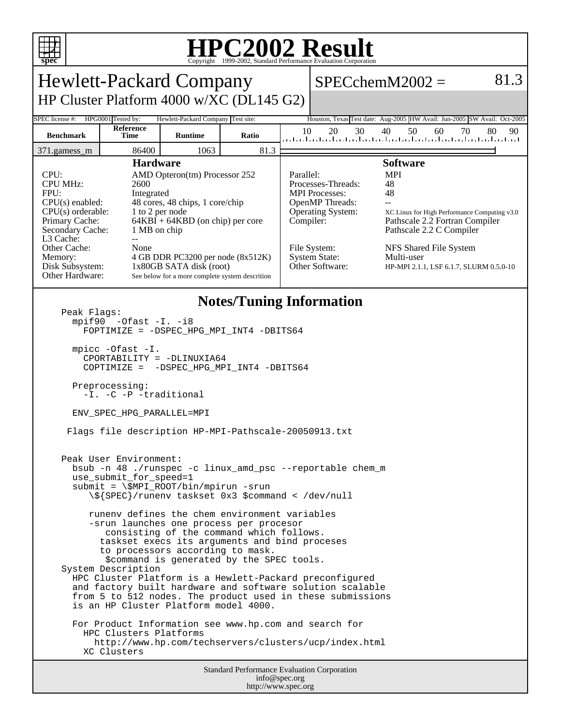

## **HPC2002 Result**

| <b>Hewlett-Packard Company</b>                                                                                                                                                                                                                                                                                                                                                                                                                                                                                                                                                                                                                                                                                                                                                                                                                                                                                                                                                                                                                                                                                                                                                                                                                                    |                    |                                                                                                                                                                                                                                                                                   |       |                        |                                                                                                                                                              | $SPECchemM2002 =$                                                                                                                                                                                                                                 | 81.3     |
|-------------------------------------------------------------------------------------------------------------------------------------------------------------------------------------------------------------------------------------------------------------------------------------------------------------------------------------------------------------------------------------------------------------------------------------------------------------------------------------------------------------------------------------------------------------------------------------------------------------------------------------------------------------------------------------------------------------------------------------------------------------------------------------------------------------------------------------------------------------------------------------------------------------------------------------------------------------------------------------------------------------------------------------------------------------------------------------------------------------------------------------------------------------------------------------------------------------------------------------------------------------------|--------------------|-----------------------------------------------------------------------------------------------------------------------------------------------------------------------------------------------------------------------------------------------------------------------------------|-------|------------------------|--------------------------------------------------------------------------------------------------------------------------------------------------------------|---------------------------------------------------------------------------------------------------------------------------------------------------------------------------------------------------------------------------------------------------|----------|
| HP Cluster Platform 4000 w/XC (DL145 G2)                                                                                                                                                                                                                                                                                                                                                                                                                                                                                                                                                                                                                                                                                                                                                                                                                                                                                                                                                                                                                                                                                                                                                                                                                          |                    |                                                                                                                                                                                                                                                                                   |       |                        |                                                                                                                                                              |                                                                                                                                                                                                                                                   |          |
| SPEC license #:                                                                                                                                                                                                                                                                                                                                                                                                                                                                                                                                                                                                                                                                                                                                                                                                                                                                                                                                                                                                                                                                                                                                                                                                                                                   | HPG0001 Tested by: | Hewlett-Packard Company Test site:                                                                                                                                                                                                                                                |       |                        |                                                                                                                                                              | Houston, Texas Test date: Aug-2005 HW Avail: Jun-2005 SW Avail: Oct-2005                                                                                                                                                                          |          |
| <b>Benchmark</b>                                                                                                                                                                                                                                                                                                                                                                                                                                                                                                                                                                                                                                                                                                                                                                                                                                                                                                                                                                                                                                                                                                                                                                                                                                                  | Reference<br>Time  | <b>Runtime</b>                                                                                                                                                                                                                                                                    | Ratio | 10                     | 20<br>30                                                                                                                                                     | 50<br>40<br>60<br>70<br>المتلميا بتباعث لتبتلين لتباعث لتباعث لتباعث لتباعث لتباعث لتباع                                                                                                                                                          | 80<br>90 |
| 86400<br>1063<br>81.3<br>371.gamess_m                                                                                                                                                                                                                                                                                                                                                                                                                                                                                                                                                                                                                                                                                                                                                                                                                                                                                                                                                                                                                                                                                                                                                                                                                             |                    |                                                                                                                                                                                                                                                                                   |       |                        |                                                                                                                                                              |                                                                                                                                                                                                                                                   |          |
| CPU:<br><b>CPU MHz:</b><br>2600<br>FPU:<br>Integrated<br>$CPU(s)$ enabled:<br>$CPU(s)$ orderable:<br>Primary Cache:<br>Secondary Cache:<br>L3 Cache:<br>$-$<br>Other Cache:<br>None<br>Memory:<br>Disk Subsystem:<br>Other Hardware:                                                                                                                                                                                                                                                                                                                                                                                                                                                                                                                                                                                                                                                                                                                                                                                                                                                                                                                                                                                                                              |                    | <b>Hardware</b><br>AMD Opteron(tm) Processor 252<br>48 cores, 48 chips, 1 core/chip<br>1 to 2 per node<br>$64KBI + 64KBD$ (on chip) per core<br>1 MB on chip<br>4 GB DDR PC3200 per node (8x512K)<br>$1x80GB$ SATA disk (root)<br>See below for a more complete system descrition |       | Parallel:<br>Compiler: | Processes-Threads:<br><b>MPI</b> Processes:<br><b>OpenMP</b> Threads:<br><b>Operating System:</b><br>File System:<br><b>System State:</b><br>Other Software: | <b>Software</b><br><b>MPI</b><br>48<br>48<br>$-$<br>XC Linux for High Performance Computing v3.0<br>Pathscale 2.2 Fortran Compiler<br>Pathscale 2.2 C Compiler<br>NFS Shared File System<br>Multi-user<br>HP-MPI 2.1.1, LSF 6.1.7, SLURM 0.5.0-10 |          |
| <b>Notes/Tuning Information</b><br>Peak Flags:<br>$mpif90 -0fast -I. -i8$<br>FOPTIMIZE = - DSPEC_HPG_MPI_INT4 -DBITS64<br>mpicc -Ofast -I.<br>CPORTABILITY = -DLINUXIA64<br>COPTIMIZE = - DSPEC_HPG_MPI_INT4 -DBITS64<br>Preprocessing:<br>-I. -C -P -traditional<br>ENV_SPEC_HPG_PARALLEL=MPI<br>Flags file description HP-MPI-Pathscale-20050913.txt<br>Peak User Environment:<br>bsub -n 48 ./runspec -c linux_amd_psc --reportable chem_m<br>use_submit_tor_speed=1<br>$submit = \SMPI_ROOT/bin/mpirun -srun$<br>\\${SPEC}/runenv taskset 0x3 \$command < /dev/null<br>runeny defines the chem environment variables<br>-srun launches one process per procesor<br>consisting of the command which follows.<br>taskset execs its arguments and bind proceses<br>to processors according to mask.<br>\$command is generated by the SPEC tools.<br>System Description<br>HPC Cluster Platform is a Hewlett-Packard preconfigured<br>and factory built hardware and software solution scalable<br>from 5 to 512 nodes. The product used in these submissions<br>is an HP Cluster Platform model 4000.<br>For Product Information see www.hp.com and search for<br>HPC Clusters Platforms<br>http://www.hp.com/techservers/clusters/ucp/index.html<br>XC Clusters |                    |                                                                                                                                                                                                                                                                                   |       |                        |                                                                                                                                                              |                                                                                                                                                                                                                                                   |          |
| <b>Standard Performance Evaluation Corporation</b><br>info@spec.org                                                                                                                                                                                                                                                                                                                                                                                                                                                                                                                                                                                                                                                                                                                                                                                                                                                                                                                                                                                                                                                                                                                                                                                               |                    |                                                                                                                                                                                                                                                                                   |       |                        |                                                                                                                                                              |                                                                                                                                                                                                                                                   |          |

http://www.spec.org